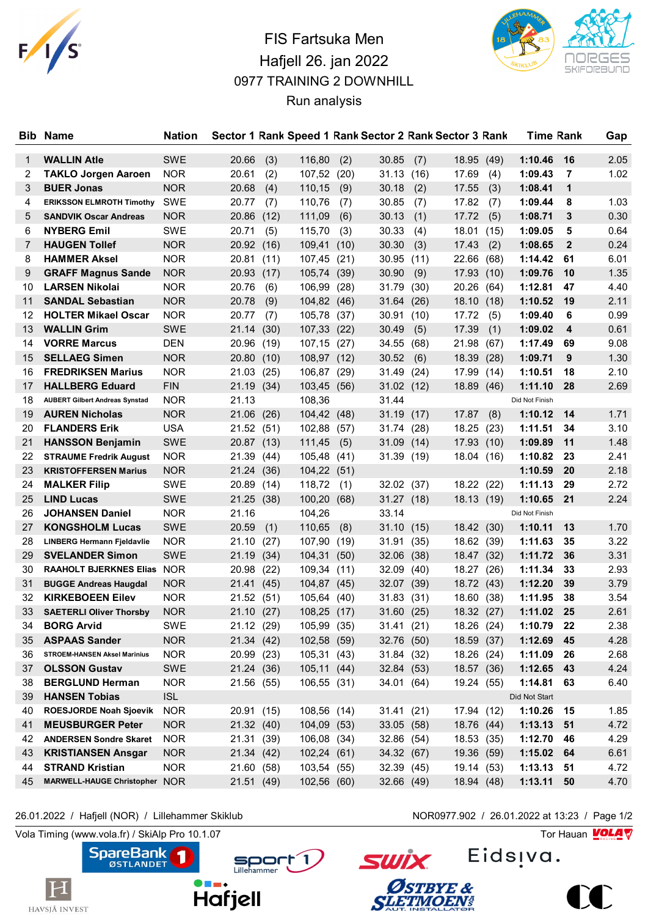

## FIS Fartsuka Men Hafjell 26. jan 2022 0977 TRAINING 2 DOWNHILL Run analysis



| <b>Bib</b> | <b>Name</b>                           | Nation     |            |      |                |      |            |      | Sector 1 Rank Speed 1 Rank Sector 2 Rank Sector 3 Rank |      | Time Rank      |              | Gap  |
|------------|---------------------------------------|------------|------------|------|----------------|------|------------|------|--------------------------------------------------------|------|----------------|--------------|------|
| 1          | <b>WALLIN Atle</b>                    | <b>SWE</b> | 20.66      | (3)  | 116,80         | (2)  | 30.85      | (7)  | 18.95                                                  | (49) | 1:10.46        | 16           | 2.05 |
| 2          | <b>TAKLO Jorgen Aaroen</b>            | <b>NOR</b> | 20.61      | (2)  | 107,52         | (20) | 31.13      | (16) | 17.69                                                  | (4)  | 1:09.43        | 7            | 1.02 |
| 3          | <b>BUER Jonas</b>                     | <b>NOR</b> | 20.68      | (4)  | 110,15         | (9)  | 30.18      | (2)  | 17.55                                                  | (3)  | 1:08.41        | 1            |      |
| 4          | <b>ERIKSSON ELMROTH Timothy</b>       | SWE        | 20.77      | (7)  | 110,76         | (7)  | 30.85      | (7)  | 17.82                                                  | (7)  | 1:09.44        | 8            | 1.03 |
| 5          | <b>SANDVIK Oscar Andreas</b>          | <b>NOR</b> | 20.86      | (12) | 111,09         | (6)  | 30.13      | (1)  | 17.72                                                  | (5)  | 1:08.71        | 3            | 0.30 |
| 6          | <b>NYBERG Emil</b>                    | SWE        | 20.71      | (5)  | 115,70         | (3)  | 30.33      | (4)  | 18.01                                                  | (15) | 1:09.05        | 5            | 0.64 |
| 7          | <b>HAUGEN Tollef</b>                  | <b>NOR</b> | 20.92 (16) |      | 109,41         | (10) | 30.30      | (3)  | 17.43                                                  | (2)  | 1:08.65        | $\mathbf{2}$ | 0.24 |
| 8          | <b>HAMMER Aksel</b>                   | <b>NOR</b> | 20.81      | (11) | 107,45         | (21) | 30.95      | (11) | 22.66                                                  | (68) | 1:14.42        | 61           | 6.01 |
| 9          | <b>GRAFF Magnus Sande</b>             | <b>NOR</b> | 20.93      | (17) | 105,74 (39)    |      | 30.90      | (9)  | 17.93                                                  | (10) | 1:09.76        | 10           | 1.35 |
| 10         | <b>LARSEN Nikolai</b>                 | <b>NOR</b> | 20.76      | (6)  | 106,99         | (28) | 31.79      | (30) | 20.26                                                  | (64) | 1:12.81        | 47           | 4.40 |
| 11         | <b>SANDAL Sebastian</b>               | <b>NOR</b> | 20.78      | (9)  | 104,82 (46)    |      | 31.64      | (26) | 18.10                                                  | (18) | 1:10.52        | 19           | 2.11 |
| 12         | <b>HOLTER Mikael Oscar</b>            | <b>NOR</b> | 20.77      | (7)  | 105,78         | (37) | 30.91      | (10) | 17.72                                                  | (5)  | 1:09.40        | 6            | 0.99 |
| 13         | <b>WALLIN Grim</b>                    | <b>SWE</b> | 21.14 (30) |      | 107,33         | (22) | 30.49      | (5)  | 17.39                                                  | (1)  | 1:09.02        | 4            | 0.61 |
| 14         | <b>VORRE Marcus</b>                   | <b>DEN</b> | 20.96      | (19) | 107,15         | (27) | 34.55      | (68) | 21.98                                                  | (67) | 1:17.49        | 69           | 9.08 |
| 15         | <b>SELLAEG Simen</b>                  | <b>NOR</b> | 20.80      | (10) | 108,97 (12)    |      | 30.52      | (6)  | 18.39                                                  | (28) | 1:09.71        | 9            | 1.30 |
| 16         | <b>FREDRIKSEN Marius</b>              | <b>NOR</b> | 21.03      | (25) | 106,87 (29)    |      | 31.49      | (24) | 17.99                                                  | (14) | 1:10.51        | 18           | 2.10 |
| 17         | <b>HALLBERG Eduard</b>                | <b>FIN</b> | 21.19      | (34) | 103,45 (56)    |      | 31.02 (12) |      | 18.89 (46)                                             |      | 1:11.10        | 28           | 2.69 |
| 18         | <b>AUBERT Gilbert Andreas Synstad</b> | <b>NOR</b> | 21.13      |      | 108,36         |      | 31.44      |      |                                                        |      | Did Not Finish |              |      |
| 19         | <b>AUREN Nicholas</b>                 | <b>NOR</b> | 21.06 (26) |      | 104,42 (48)    |      | 31.19 (17) |      | 17.87                                                  | (8)  | 1:10.12        | 14           | 1.71 |
| 20         | <b>FLANDERS Erik</b>                  | <b>USA</b> | 21.52 (51) |      | 102,88         | (57) | 31.74 (28) |      | 18.25                                                  | (23) | 1:11.51        | 34           | 3.10 |
| 21         | <b>HANSSON Benjamin</b>               | <b>SWE</b> | 20.87 (13) |      | 111,45         | (5)  | 31.09      | (14) | 17.93                                                  | (10) | 1:09.89        | 11           | 1.48 |
| 22         | <b>STRAUME Fredrik August</b>         | <b>NOR</b> | 21.39      | (44) | 105,48         | (41) | 31.39(19)  |      | 18.04 (16)                                             |      | 1:10.82        | 23           | 2.41 |
| 23         | <b>KRISTOFFERSEN Marius</b>           | <b>NOR</b> | 21.24 (36) |      | 104,22 (51)    |      |            |      |                                                        |      | 1:10.59        | <b>20</b>    | 2.18 |
| 24         | <b>MALKER Filip</b>                   | <b>SWE</b> | 20.89      | (14) | 118,72         | (1)  | 32.02 (37) |      | 18.22 (22)                                             |      | 1:11.13        | 29           | 2.72 |
| 25         | <b>LIND Lucas</b>                     | <b>SWE</b> | 21.25 (38) |      | 100,20         | (68) | 31.27(18)  |      | 18.13 (19)                                             |      | 1:10.65        | 21           | 2.24 |
| 26         | <b>JOHANSEN Daniel</b>                | <b>NOR</b> | 21.16      |      | 104,26         |      | 33.14      |      |                                                        |      | Did Not Finish |              |      |
| 27         | <b>KONGSHOLM Lucas</b>                | <b>SWE</b> | 20.59      | (1)  | 110,65         | (8)  | 31.10      | (15) | 18.42 (30)                                             |      | 1:10.11        | 13           | 1.70 |
| 28         | <b>LINBERG Hermann Fjeldavlie</b>     | <b>NOR</b> | 21.10      | (27) | 107,90         | (19) | 31.91 (35) |      | 18.62 (39)                                             |      | 1:11.63        | 35           | 3.22 |
| 29         | <b>SVELANDER Simon</b>                | <b>SWE</b> | 21.19      | (34) | 104,31 (50)    |      | 32.06 (38) |      | 18.47 (32)                                             |      | 1:11.72        | 36           | 3.31 |
| 30         | RAAHOLT BJERKNES Elias NOR            |            | 20.98      | (22) | 109,34         | (11) | 32.09      | (40) | 18.27                                                  | (26) | 1:11.34        | 33           | 2.93 |
| 31         | <b>BUGGE Andreas Haugdal</b>          | <b>NOR</b> | 21.41      | (45) | 104,87 (45)    |      | 32.07 (39) |      | 18.72 (43)                                             |      | 1:12.20        | 39           | 3.79 |
| 32         | <b>KIRKEBOEEN Eilev</b>               | <b>NOR</b> | 21.52 (51) |      | 105,64         | (40) | 31.83      | (31) | 18.60                                                  | (38) | 1:11.95        | 38           | 3.54 |
| 33         | <b>SAETERLI Oliver Thorsby</b>        | <b>NOR</b> | 21.10      | (27) | 108,25         | (17) | 31.60      | (25) | 18.32 (27)                                             |      | 1:11.02        | 25           | 2.61 |
| 34         | <b>BORG Arvid</b>                     | SWE        | 21.12 (29) |      | 105,99 (35)    |      | 31.41 (21) |      | 18.26 (24)                                             |      | 1:10.79        | 22           | 2.38 |
| 35         | <b>ASPAAS Sander</b>                  | <b>NOR</b> | 21.34(42)  |      | 102,58 (59)    |      | 32.76 (50) |      | 18.59 (37)                                             |      | 1:12.69        | 45           | 4.28 |
| 36         | <b>STROEM-HANSEN Aksel Marinius</b>   | <b>NOR</b> | 20.99 (23) |      | 105,31 (43)    |      | 31.84 (32) |      | 18.26 (24)                                             |      | 1:11.09        | 26           | 2.68 |
| 37         | <b>OLSSON Gustav</b>                  | SWE        | 21.24 (36) |      | $105, 11$ (44) |      | 32.84 (53) |      | 18.57 (36)                                             |      | 1:12.65        | 43           | 4.24 |
| 38         | <b>BERGLUND Herman</b>                | <b>NOR</b> | 21.56 (55) |      | 106,55 (31)    |      | 34.01 (64) |      | 19.24 (55)                                             |      | 1:14.81        | 63           | 6.40 |
| 39         | <b>HANSEN Tobias</b>                  | <b>ISL</b> |            |      |                |      |            |      |                                                        |      | Did Not Start  |              |      |
| 40         | ROESJORDE Noah Sjoevik                | <b>NOR</b> | 20.91 (15) |      | 108,56 (14)    |      | 31.41(21)  |      | 17.94 (12)                                             |      | 1:10.26        | 15           | 1.85 |
| 41         | <b>MEUSBURGER Peter</b>               | <b>NOR</b> | 21.32(40)  |      | 104,09 (53)    |      | 33.05 (58) |      | 18.76 (44)                                             |      | $1:13.13$ 51   |              | 4.72 |
| 42         | <b>ANDERSEN Sondre Skaret</b>         | <b>NOR</b> | 21.31 (39) |      | 106,08 (34)    |      | 32.86 (54) |      | 18.53 (35)                                             |      | 1:12.70        | -46          | 4.29 |
| 43         | <b>KRISTIANSEN Ansgar</b>             | <b>NOR</b> | 21.34(42)  |      | 102,24 (61)    |      | 34.32 (67) |      | 19.36 (59)                                             |      | 1:15.02 64     |              | 6.61 |
| 44         | <b>STRAND Kristian</b>                | <b>NOR</b> | 21.60 (58) |      | 103,54 (55)    |      | 32.39 (45) |      | 19.14 (53)                                             |      | $1:13.13$ 51   |              | 4.72 |
| 45         | MARWELL-HAUGE Christopher NOR         |            | 21.51 (49) |      | 102,56 (60)    |      | 32.66 (49) |      | 18.94 (48)                                             |      | 1:13.11        | 50           | 4.70 |

**SpareBank** 

 $\bf \rm H$ 

HAVSJÅ INVEST

F

26.01.2022 / Hafjell (NOR) / Lillehammer Skiklub NOR0977.902 / 26.01.2022 at 13:23 / Page 1/2

Vola Timing (www.vola.fr) / SkiAlp Pro 10.1.07 Tor Hauan Motor Pro 10.1.07 Tor Hauan Motor Pro 10.1.07





**SWİX** 

ØSTBYE &<br>SLETMOEN#